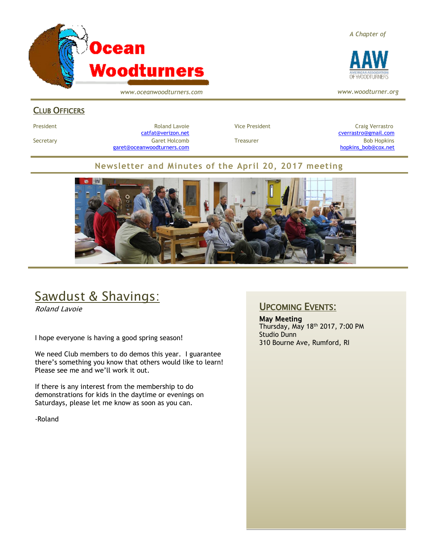

*www.oceanwoodturners.com*

#### *A Chapter of*



*www.woodturner.org*

## CLUB OFFICERS

President **Roland Lavoie Roland Lavoie** Vice President **Craig Verrastro** Craig Verrastro Secretary Garet Holcomb Treasurer Bob Hopkins Bob Hopkins (Bob Hopkins Garet Holcomb [garet@oceanwoodturners.com](mailto:garet@oceanwoodturners.com) and the state of the state of the state of the state of the state of the state of the state of the state of the state of the state of the state of the state of the state of the state of the state

[catfat@verizon.net](file:///C:/Users/OTEC/Desktop/OW/catfat@verizon.net) [cverrastro@gmail.com](mailto:cverrastro@gmail.com)

## **Newsletter and Minutes of the April 20, 2017 meeting**



# Sawdust & Shavings:

Roland Lavoie

I hope everyone is having a good spring season!

We need Club members to do demos this year. I guarantee there's something you know that others would like to learn! Please see me and we'll work it out.

If there is any interest from the membership to do demonstrations for kids in the daytime or evenings on Saturdays, please let me know as soon as you can.

-Roland

## UPCOMING EVENTS:

May Meeting Thursday, May 18th 2017, 7:00 PM Studio Dunn 310 Bourne Ave, Rumford, RI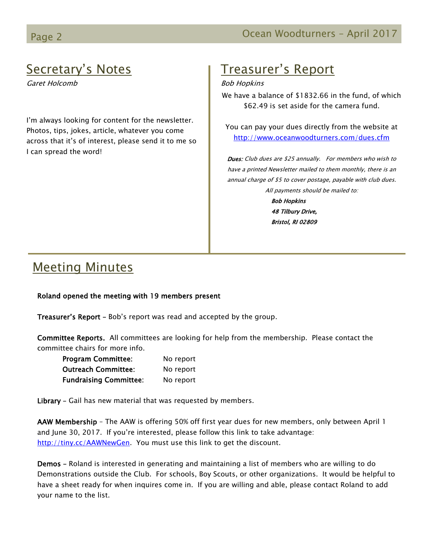# Secretary's Notes

Garet Holcomb

I'm always looking for content for the newsletter. Photos, tips, jokes, article, whatever you come across that it's of interest, please send it to me so I can spread the word!

# Treasurer's Report

#### Bob Hopkins

We have a balance of \$1832.66 in the fund, of which \$62.49 is set aside for the camera fund.

You can pay your dues directly from the website at <http://www.oceanwoodturners.com/dues.cfm>

Dues: Club dues are \$25 annually. For members who wish to have a printed Newsletter mailed to them monthly, there is an annual charge of \$5 to cover postage, payable with club dues. All payments should be mailed to:

> Bob Hopkins 48 Tilbury Drive, Bristol, RI 02809

# Meeting Minutes

### Roland opened the meeting with 19 members present

Treasurer's Report – Bob's report was read and accepted by the group.

Committee Reports. All committees are looking for help from the membership. Please contact the committee chairs for more info.

| <b>Program Committee:</b>     | No report |
|-------------------------------|-----------|
| <b>Outreach Committee:</b>    | No report |
| <b>Fundraising Committee:</b> | No report |

Library - Gail has new material that was requested by members.

AAW Membership - The AAW is offering 50% off first year dues for new members, only between April 1 and June 30, 2017. If you're interested, please follow this link to take advantage: [http://tiny.cc/AAWNewGen.](http://tiny.cc/AAWNewGen) You must use this link to get the discount.

Demos – Roland is interested in generating and maintaining a list of members who are willing to do Demonstrations outside the Club. For schools, Boy Scouts, or other organizations. It would be helpful to have a sheet ready for when inquires come in. If you are willing and able, please contact Roland to add your name to the list.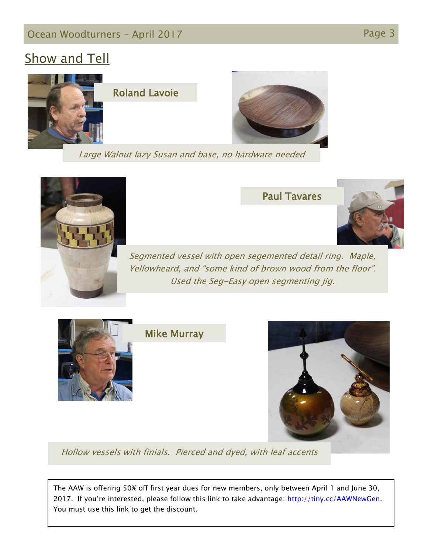## Ocean Woodturners - April 2017 **Page 3** Page 3

# Show and Tell



Large Walnut lazy Susan and base, no hardware needed



## Paul Tavares



Segmented vessel with open segemented detail ring. Maple, Yellowheard, and "some kind of brown wood from the floor". Used the Seg-Easy open segmenting jig.



Mike Murray



Hollow vessels with finials. Pierced and dyed, with leaf accents

The AAW is offering 50% off first year dues for new members, only between April 1 and June 30, 2017. If you're interested, please follow this link to take advantage: [http://tiny.cc/AAWNewGen.](http://tiny.cc/AAWNewGen) You must use this link to get the discount.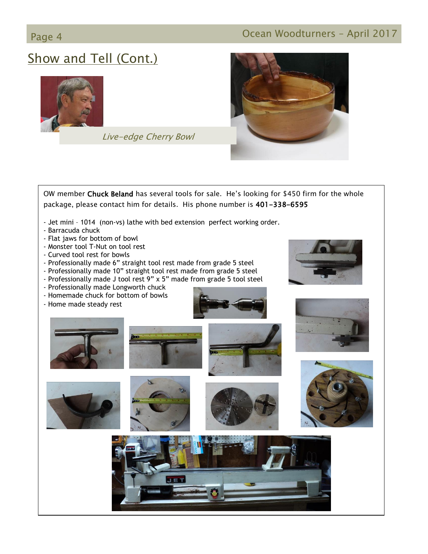## Page 4 **Ocean Woodturners – April 2017**

# Show and Tell (Cont.)



Live-edge Cherry Bowl



OW member Chuck Beland has several tools for sale. He's looking for \$450 firm for the whole package, please contact him for details. His phone number is 401-338-6595 - Jet mini – 1014 (non-vs) lathe with bed extension perfect working order. - Barracuda chuck - Flat jaws for bottom of bowl - Monster tool T-Nut on tool rest - Curved tool rest for bowls - Professionally made 6" straight tool rest made from grade 5 steel - Professionally made 10" straight tool rest made from grade 5 steel - Professionally made J tool rest 9" x 5" made from grade 5 tool steel - Professionally made Longworth chuck - Homemade chuck for bottom of bowls - Home made steady rest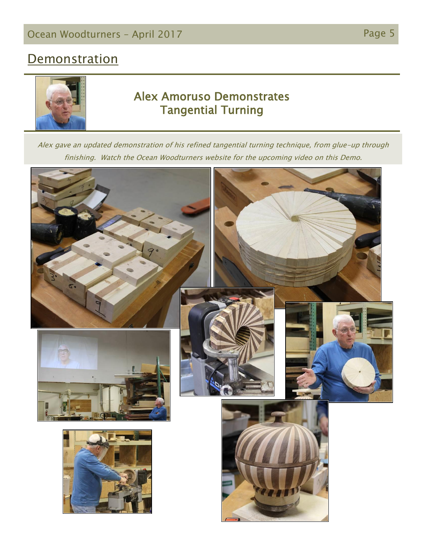# **Demonstration**



## Alex Amoruso Demonstrates Tangential Turning

Alex gave an updated demonstration of his refined tangential turning technique, from glue-up through finishing. Watch the Ocean Woodturners website for the upcoming video on this Demo.